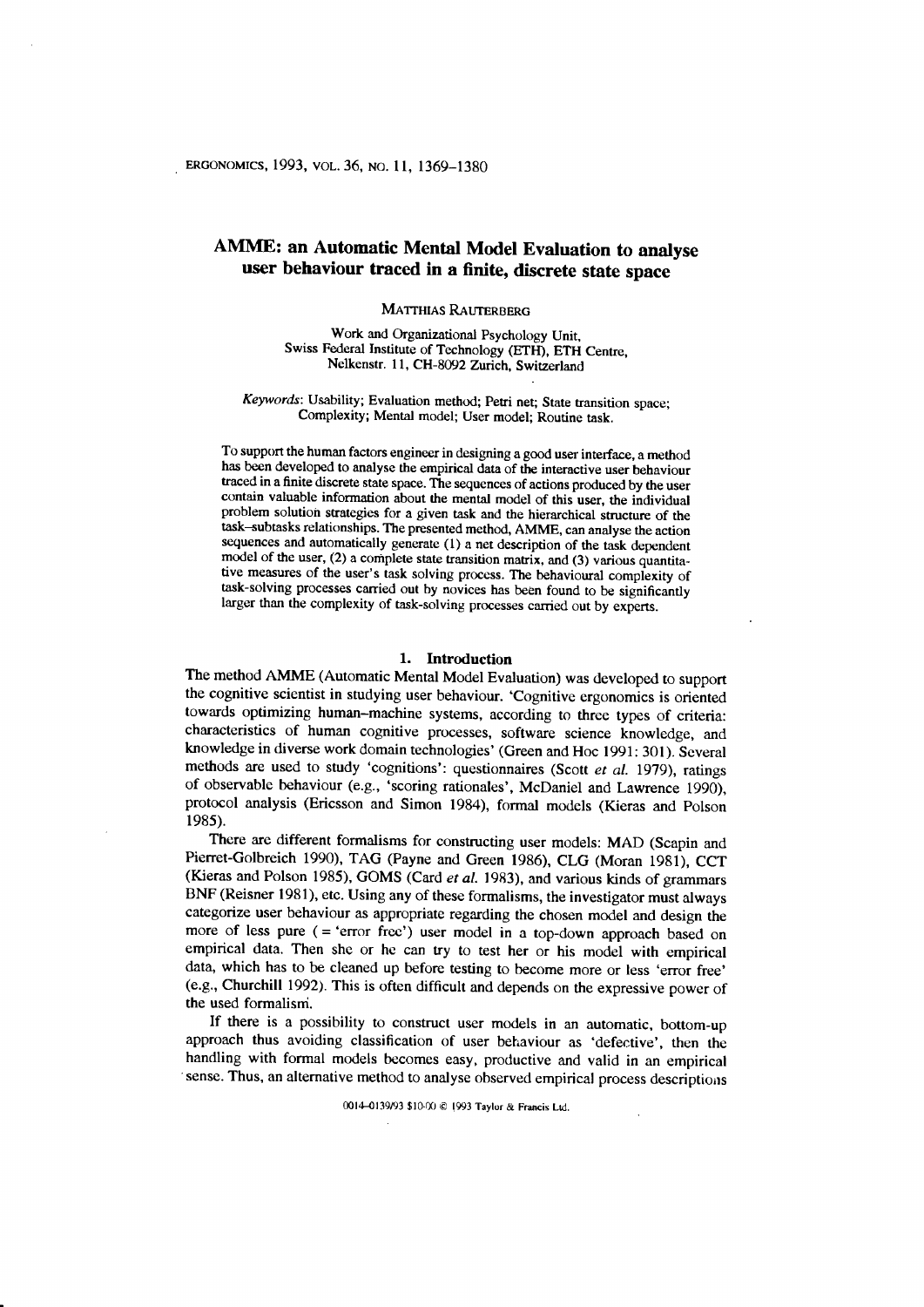# AMME: an Automatic Mental Model Evaluation to analyse user behaviour traced in a finite, discrete state space

MATTHIAS RAUTERBERG

Work and Organizational Psychology Unit, Swiss Federal Institute of Technology (ETH), ETH Centre, Nelkenstr. 11, CH-8092 Zurich, Switzerland

Keywords: Usability; Evaluation method; Petri net; State transition space; Complexity; Mental model; User model; Routine task.

To support the human factors engineer in designing a good user interface, a method has been developed to analyse the empirical data of the interactive user behaviour traced in a finite discrete state space. The sequences of actions produced by the user contain valuable information about the mental model of this user, the individual problem solutioh strategies for a given task and the hierarchical structure of the task--subtasks relationships. The presented method, AMME, can analyse the action sequences and automatically generate (1) a net description of the task dependent model of the user, (2) a complete state transition matrix, and (3) various quantitative measures of the user's task solving process. The behavioural complexity of task-solving processes carried out by novices has been found to be significahuy larger than the complexity of task-solving processes carried out by experts.

#### 1. Introduction

The method AMME (Automatic Mental Model Evaluation) was developed to support the cognitive scientist in studying user behaviour. 'Cognitive ergonomics is oriented towards optimizing human-machine systems, according to three types of criteria: characteristics of human cognitive processes, software science knowledge, and knowledge in diverse work domain technologies' (Green and Hoc l99l: 301). Several methods are used to study 'cognitions': questionnaires (Scott et al. 1979), ratings of observable behaviour (e.g., 'scoring rationales', McDaniel and Lawrence 1990), protocol analysis (Ericsson and Simon 1984), formal models (Kieras and Polson 1985).

There are different formalisms for constructing user models: MAD (Scapin and Pierret-Golbreich 1990), TAG (Payne and Green 1986), CLG (Moran 1981), CCT (Kieras and Polson 1985), GOMS (Card et al. 1983), and various kinds of grammars BNF (Reisner 1981), etc. Using any of these formalisms, the investigator must always categorize user behaviour as appropriate regarding the chosen model and design the more of less pure ( = 'error frec') user model in a top-down approach based on empirical data. Then she or hc can try to test her or his model with empirical data, which has to be cleaned up before testing to become more or less 'error free' (e.g., churchill 1992). This is often difficult and depends on the expressive power of the used formalisni.

If there is a possibility to construct user models in an automatic, bottom-up approach thus avoiding classification of user betiaviour as 'defective', then the handling with formal models becomes easy, productive and valid in an empirical sense. Thus, an alternative method to analyse observed empirical process descriptions

0014-0139/93 \$10-00 @ 1993 Taylor & Francis Ltd.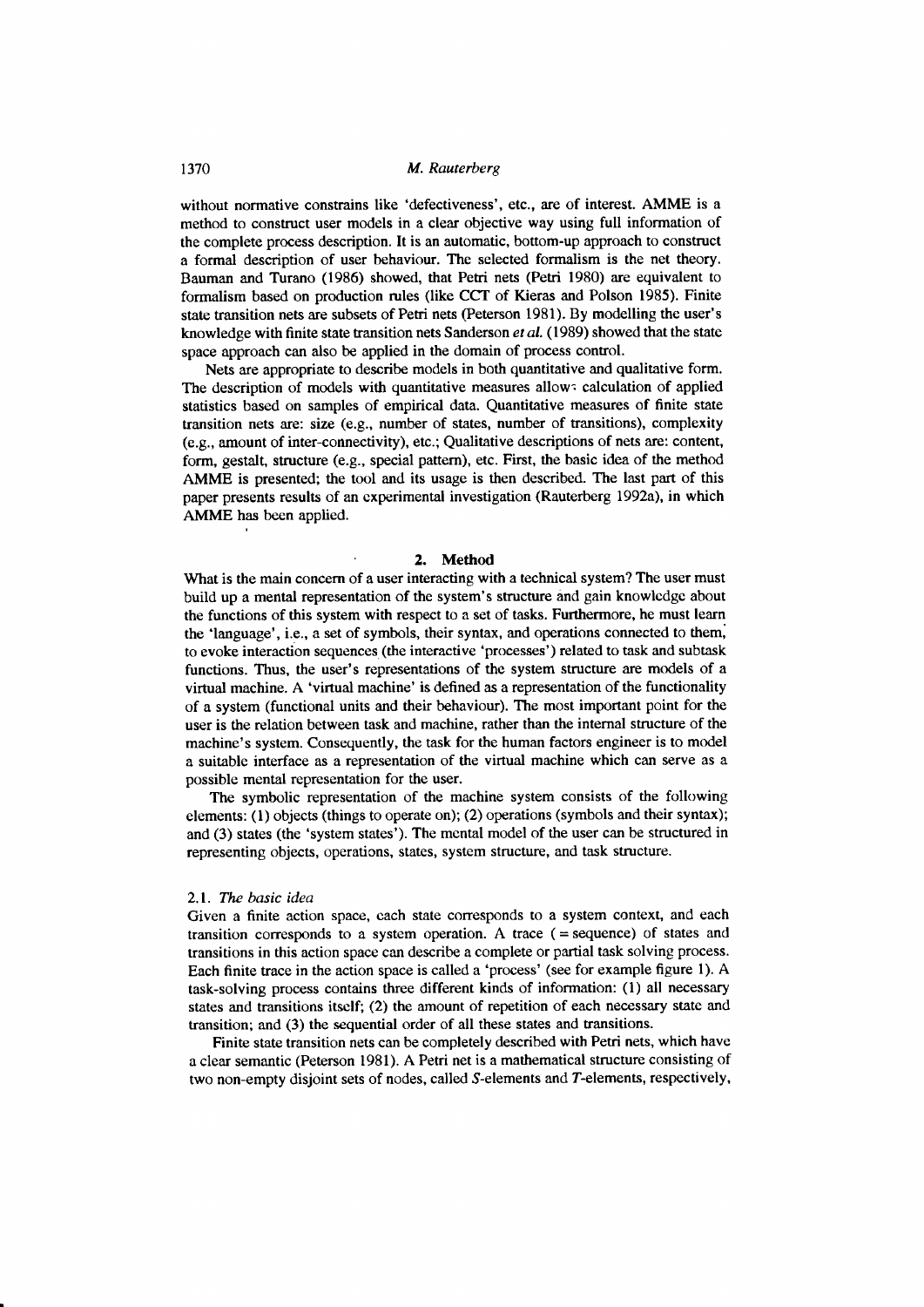without normative constrains like 'defectiveness', etc., are of interest. AMME is a method to construct user models in a clear objective way using full information of the complete process description. It is an automatic, bottom-up approach to construct a formal description of user behaviour. The selected formalism is the net theory. Bauman and Turano (1986) showed, that Petri nets (Petri 1980) are equivalent to formalism based on production rules (like CCT of Kieras and Polson 1985). Finite state transition nets are subsets of Petri nets (Petersón 1981). By modelling the user's knowledge with finite state transition nets Sanderson et al. (1989) showed that the state space approach can also be applied in the domain of process control.

Nets are appropriate to describe models in both quantitative and qualitative form. The description of models with quantitative measures allow: calculation of applied statistics based on samples of empirical data. Quantitative measures of finite state transition nets are: size (e.g., number of states, number of transitions), complexity (e.g., amount of inter-connectivity), etc.; Qualitative descriptions of nets are: content, form, gestalt, structure (e.g., special pattern), etc. First, the basic idea of the method AMME is presented; the tool and its usage is then described. The last part of this paper presents results of an experimental investigation (Rauterberg 1992a), in which AMME has been applied.

## 2. Method

What is the main concern of a user interacting with a technical system? The user must build up a mental representation of the system's structure and gain knowlcdgc about the functions of this system with respect to a set of tasks. Furthermore, he must learn the 'language', i.e., a set of symbols, their syntax, and operations connected to them, to evoke interaction sequences (the interactive 'processes') related to task and subtask functions. Thus, the user's representations of the system structure are models of a virtual machine. A 'virtual machine' is defined as a representation of the functionality of a system (functional units and their behaviour). The most important point for the user is the relation between task and machine, rather than the internal structure of the machine's system. Consequently, the task for the human factors engineer is to model a suitable interface as a representation of the virtual machine which can serve as a possible mental representation for the user.

The symbolic representation of the machine system consists of the following elements: (1) objects (things to operate on); (2) operations (symbols and their syntax); and (3) states (the 'system states'). The mcntal model of the user can be structured in representing objects, operations, states, system structure, and task structure.

#### 2.1. The basic idea

Given a finite action space, cach state corresponds to a system context, and each transition corresponds to a system operation. A trace  $($  = sequence) of states and transitions in this action space can describe a complete or partial task solving process. Each finite trace in the action space is called a 'process' (see for example figure l). A task-solving process contains three different kinds of information: (l) all necessary states and transitions itsclf; (2) the amount of repetition of each necessary state and transition; and (3) the sequential order of all these states and transitions.

Finite state transition nets can be completely described with Petri nets, which have a clear semantic (Peterson 1981). A Petri net is a mathematical structure consisting of two non-empty disjoint sets of nodes, called S-elements and T-elements, respectively,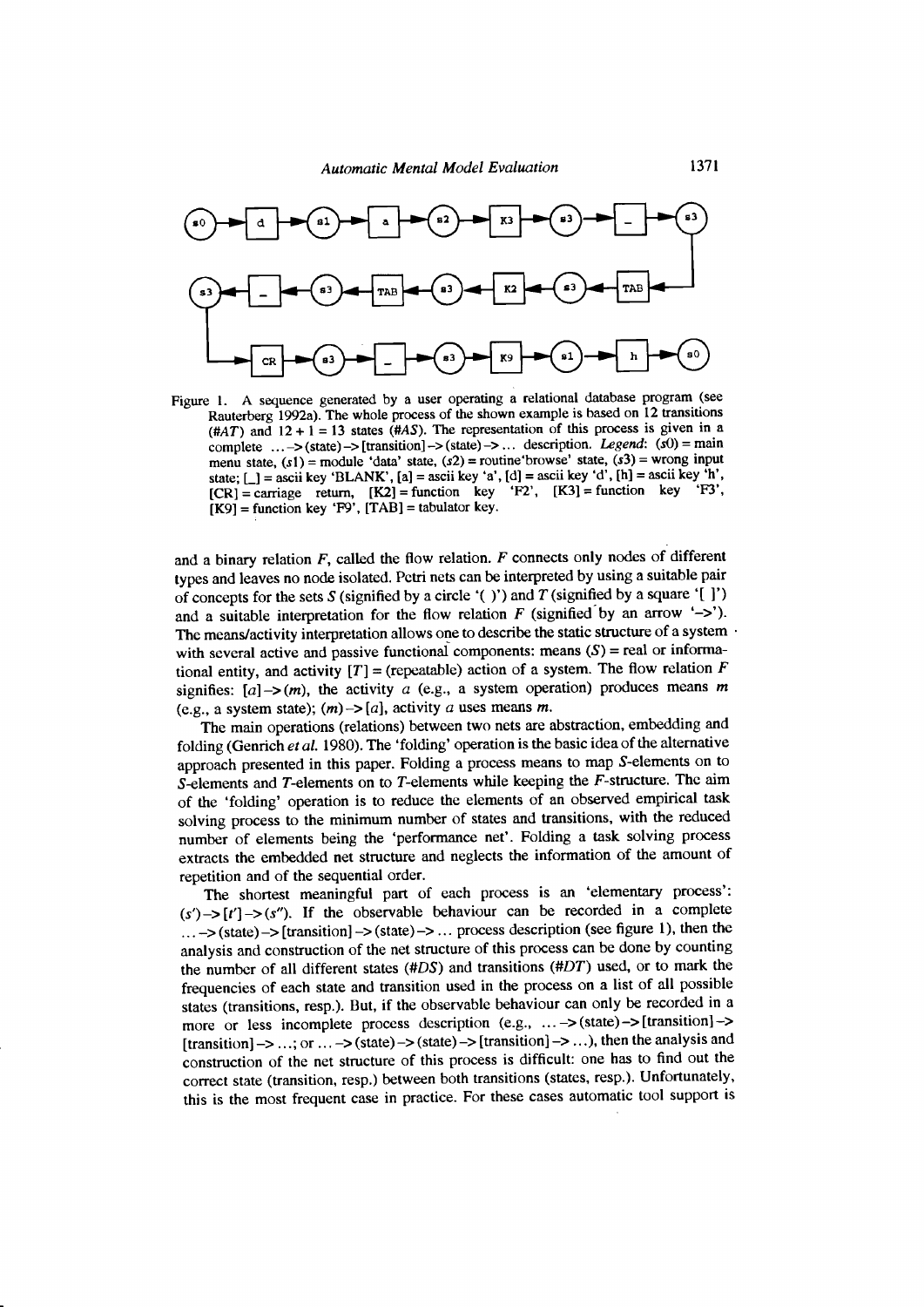

Figure l. A sequence generated by a user operating a relational database program (see Rauterberg 1992a). The whole process of the shown example is based on 12 transitions (#AT) and  $12 + 1 = 13$  states (#AS). The representation of this process is given in a complete ... ->(state)->[transition]->(state)->... description. Legend:  $(s0)$  = main menu state,  $(s1)$  = module 'data' state,  $(s2)$  = routine'browse' state,  $(s3)$  = wrong input state;  $\lfloor$  = ascii key 'BLANK',  $[a]$  = ascii key 'a',  $[d]$  = ascii key 'd',  $[h]$  = ascii key 'h',  $[CR]$  = carriage return,  $[K2]$  = function key 'F2',  $[K3]$  = function key 'F3',  $[K9]$  = function key 'F9',  $[TAB]$  = tabulator key.

and a binary relation  $F$ , called the flow relation.  $F$  connects only nodes of different types and leaves no node isolated. Pctri nets can be interpreted by using a suitable pair of concepts for the sets S (signified by a circle '( )') and T (signified by a square '[ ]') and a suitable interpretation for the flow relation  $F$  (signified by an arrow '->'). The means/activity interpretation allows one to describe the static structure of a system with several active and passive functional components: means  $(S)$  = real or informational entity, and activity  $[T] =$  (repeatable) action of a system. The flow relation F signifies:  $[a] \rightarrow (m)$ , the activity a (e.g., a system operation) produces means m (e.g., a system state);  $(m)$  -> [a], activity a uses means m.

The main operations (relations) between two nets are abstraction, embedding and folding (Genrich et al. 1980). The 'folding' operation is the basic idea of the alternative approach presented in this paper. Folding a process means to map S-elements on to S-elements and T-elements on to T-elements while keeping the  $F$ -structure. The aim of the 'folding' operation is to reduce the elements of an observed empirical task solving process to the minimum number of states and transitions, with the reduced number of elements being the 'performance net'. Folding a task solving process extracts the embedded net structure and neglects the information of the amount of repetition and of the sequential order.

The shortest meaningful part of each process is an 'elementary process':  $(s') \rightarrow [t'] \rightarrow (s'')$ . If the observable behaviour can be recorded in a complete  $\dots \rightarrow$ (state) $\rightarrow$ [transition] $\rightarrow$ (state) $\rightarrow \dots$  process description (see figure 1), then the analysis and construction of the net structure of this process can be done by counting the number of all different states (#DS) and transitions (#DT) used, or to mark the frequencies of each state and transition used in the process on a list of all possible staies (transitions, resp.). But, if the observable behaviour can only be recorded in a more or less incomplete process description (e.g., ... -> (state) -> [transition] -> [transition]  $\rightarrow$  ...; or ...  $\rightarrow$  (state)  $\rightarrow$  (state)  $\rightarrow$  [transition]  $\rightarrow$  ...), then the analysis and construction of the net structure of this process is difficult: one has to find out the corect state (transition, resp.) between both transitions (states, resp.). Unfortunately, this is the most frequent case in practice. For these cases automatic tool support is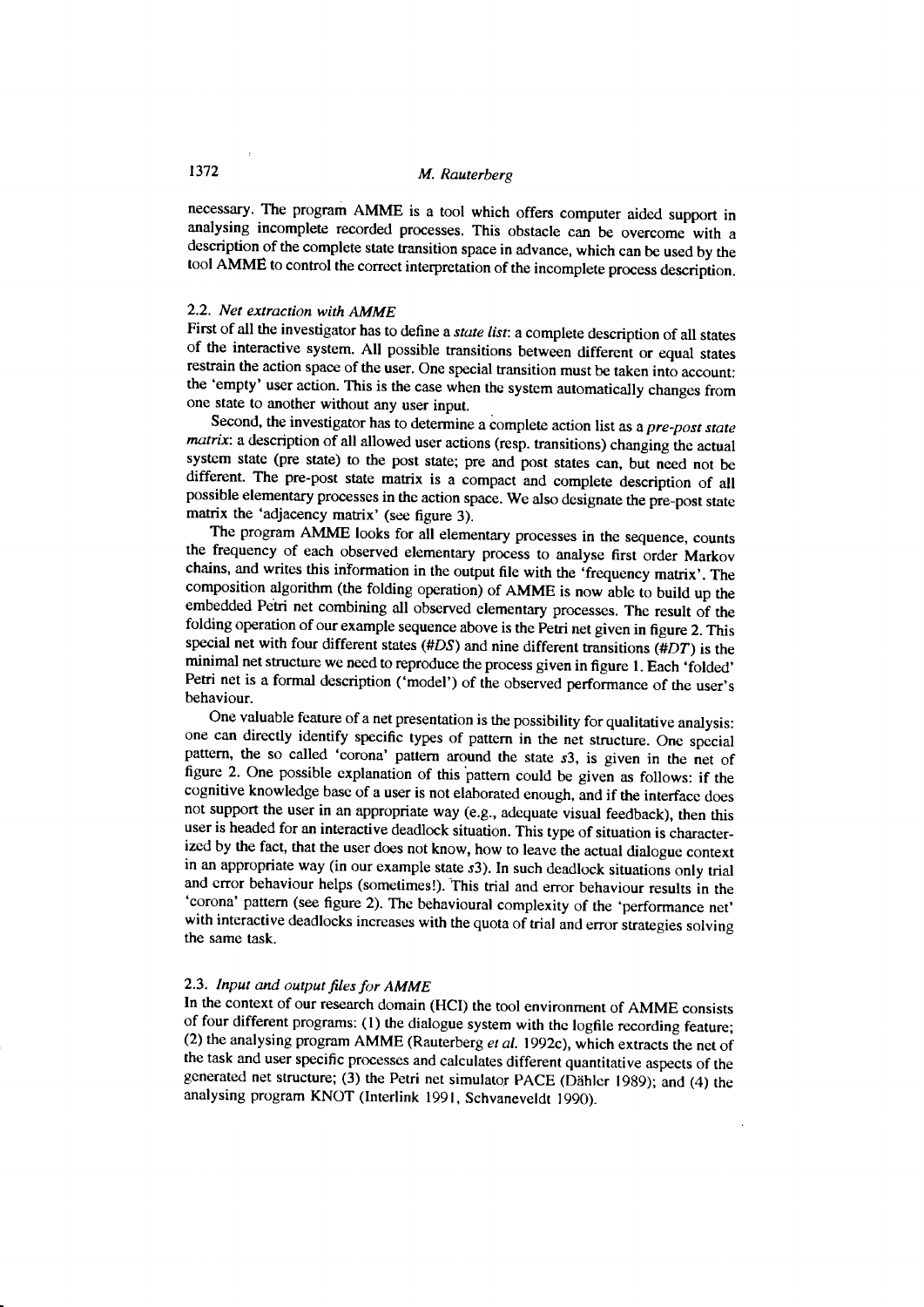necessary. The program AMME is a tool which offers computer aided support in analysing incomplete recorded processes. This obstacle can be overcome with a description of the complete state transition space in advance, which can be used by the tool AMME to control the correct interpretation of the incomplete process description.

## 2.2. Net extraction with AMME

First of all the investigator has to define a *state list*: a complete description of all states of the interactive system. All possible transitions between differeni or equal states restrain the action space of the user. One special transition must be taken into account: the 'empty' user action. This is the case when the system automatically changes from one state to another without any user input.

Second, the investigator has to determine a complete action list as a pre-post state matrix: a description of all allowed user actions (resp. transitions) changing the actual system state (pre state) to the post state; pre and post states can, but need not be different. The pre-post state matrix is a compact and complete description of all possible elementary processes in the action space. We also designate tne pre-post state matrix the 'adjacency matrix' (see figure 3).

The program AMME looks for all elementary processes in the sequence, counts the frequency of each observed elementary process to analyse first order Markov chains, and writes this information in the output file with the 'frequency matrix'. The composition algorithm (the folding operation) of AMME is now àble to build up the embedded Petri net combining all observed elementary processes. The result of the folding operation of our example sequence above is the Petri net given in figure 2. This special net with four different states  $(HDS)$  and nine different transitions  $(HDT)$  is the minimal net structure we need to reproduce the process given in figure 1. Each 'folded' Petri net is a formal description ('model') of the observed performance of the user's behaviour.

One valuable feature of a net presentation is the possibility for qualitative analysis: one can directly identify specific types of pattern in the net structure. onc special pattern, the so called 'corona' pattern around the state s3, is given in the net of figure 2. One possible cxplanation of this pattern could be given as follows: if the cognitive knowledge base of a user is not elaborated enough, and if the interface does not support the user in an appropriate way (e.g., adequate visual feedback), then this user is headed for an interactive deadlock situation. This type of situation is characterized by the fact, that the user does not know, how to leave the actual dialogue context in an appropriate way (in our example state  $s3$ ). In such deadlock situations only trial and error behaviour helps (sometimes!). This trial and error behaviour results in the 'corona' pattern (see figure 2). The behavioural complexity of the 'performance net' with interactive deadlocks increases with the quota of trial and error strategies solving the same task.

## 2.3. Input and output files for AMME

In the context of our research domain (HCI) the tool environment of AMME consists of four different programs: (1) the dialogue system with the logfile recording feature; (2) the analysing program AMME (Rauterberg et al. 1992c), which extracts the net of the task and user specific processes and calculates different quantitative aspects of the generated net structure; (3) the Petri net simulator PACE (Dähler 1989); and (4) the analysing program KNOT (lnterlink 1991, Schvaneveldt 1990).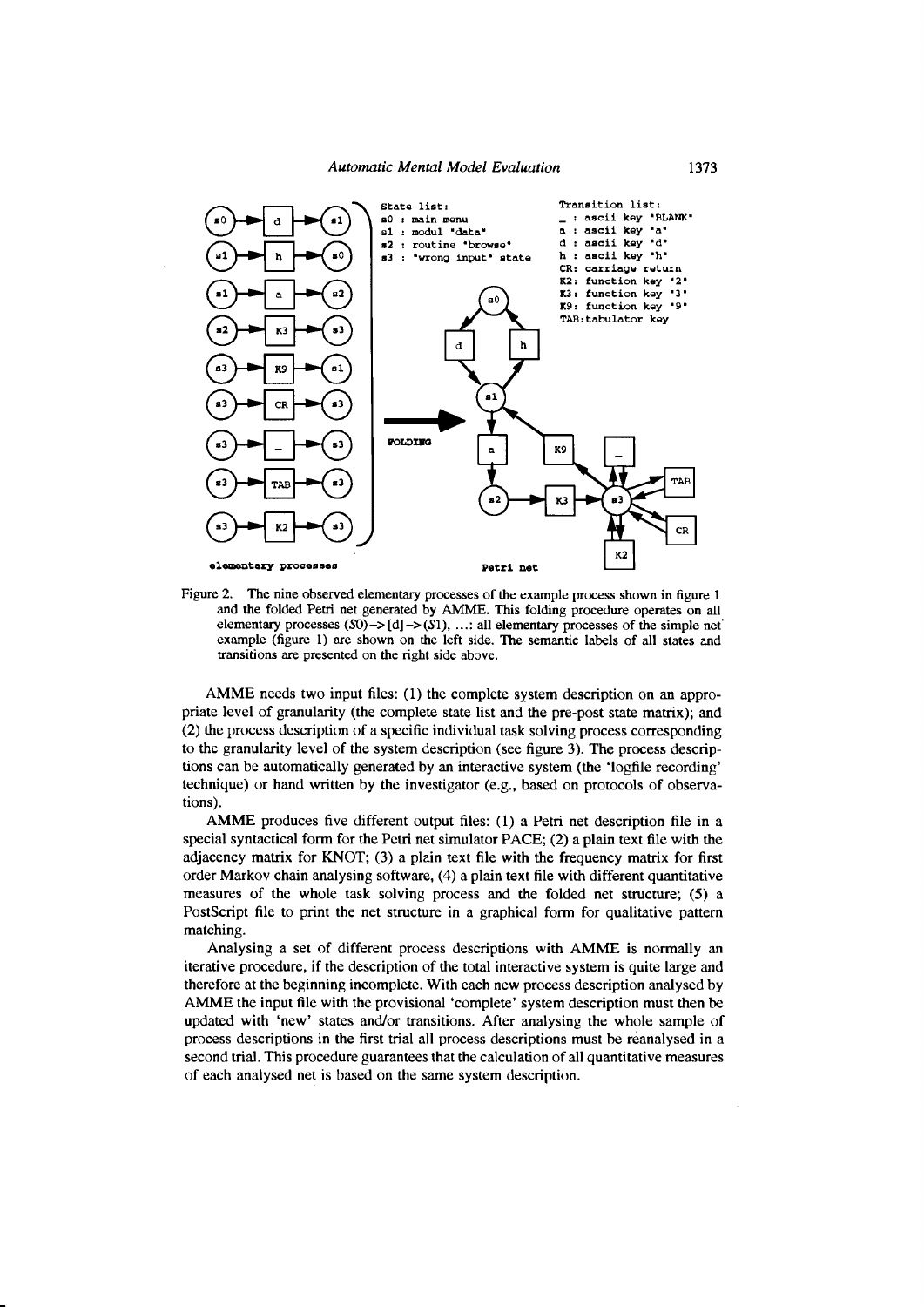

Figure 2. The nine observed elementary processes of the example process shown in figure 1 and the folded Petri net generated by AMME. This folding procedure operates on all elementary processes  $(S0)$  ->  $[d]$  ->  $(S1)$ , ...: all elementary processes of the simple net example (figure 1) are shown on the left side. The semantic labels of all states and transitions are presented on the right side above.

AMME needs two input files: (1) the complete system description on an appropriate level of granularity (the complete state list and the pre-post state matrix); and (2) the process description of a specific individual task solving process corresponding to the granularity level of the system description (see figure 3). The process descriptions can be automatically generated by an interactive system (the 'logfile recording' technique) or hand written by the investigator (e.g., based on protocols of observations).

AMME produces five different output files: (1) a Petri net description file in a special syntactical form for the Petri net simulator PACE; (2) a plain text file with the adjacency matrix for KNOT; (3) a plain text file with the frequency matrix for first order Markov chain analysing software, (4) a plain text file with different quantitative measures of the whole task solving process and the folded net structure; (5) a PostScript file to print the net structure in a graphical form for qualitative pattern matching.

Analysing a set of different process descriptions with AMME is normally an iterative procedure, if the description of the total interactive system is quite large and therefore at the beginning incomplete. With each new process description analysed by AMME the input file with the provisional 'complete' system description must then be updated with 'new' states and/or transitions. After analysing the whole sample of process descriptions in the first trial all process descriptions must be reanalysed in a second trial. This procedure guarantees that the calculation of all quantitative measures of each analysed net is based on the same system description.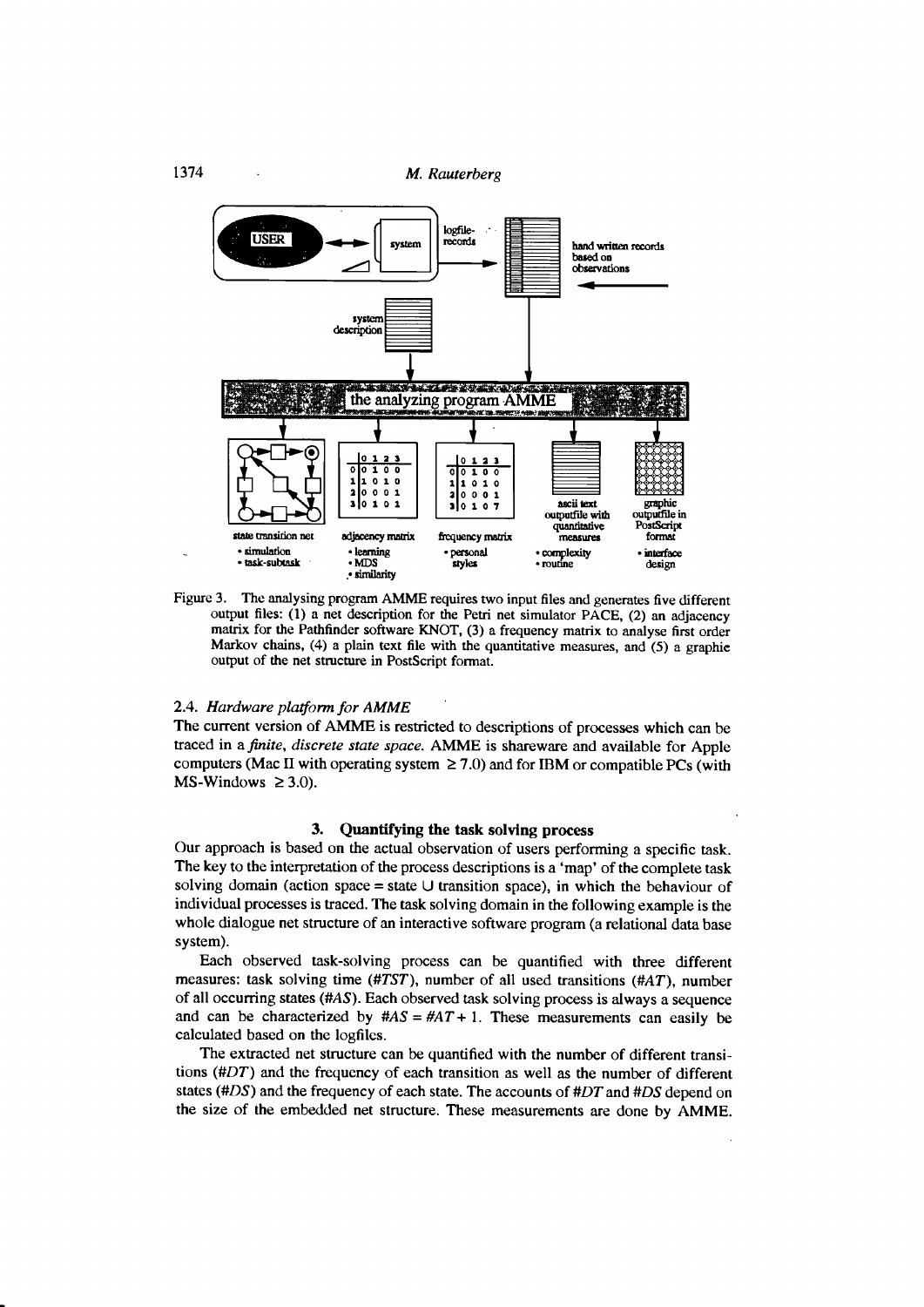

Figure 3. The analysing program AMME requires two input files and generates five different output files: (1) a net description for the Petri net simulator PACE, (2) an adjacency matrix for the Pathfinder software KNOT, (3) a frequency matrix to analyse first order Markov chains, (4) a plain text file with the quantitative measures, and (5) a graphic output of the net structure in PostScript format.

### 2.4. Hardware platform for AMME

The current version of AMME is restricted to descriptions of processes which can be traced in a finite, discrete state space. AMME is shareware and available for Apple computers (Mac II with operating system  $\geq$  7.0) and for IBM or compatible PCs (with MS-Windows  $\geq 3.0$ ).

## 3. Quantifying the task solving process

Our approach is based on the actual observation of users performing a specific task. The key to the interpretation of the process descriptions is a 'map' of the complete task solving domain (action space = state  $\cup$  transition space), in which the behaviour of individual processes is traced. The task solving domain in the following example is the whole dialogue net structure of an interactive software program (a relational data base system).

Each observed task-solving process can be quantified with three different measures: task solving time (#TST), number of all used transitions (#AT), number of all occurring states (#AS). Each observed task solving process is always a sequence and can be characterized by  $\#AS = \#AT + 1$ . These measurements can easily be calculated based on the logfiles.

The extracted net structure can be quantified with the number of different transitions (#DT) and the frequency of each transition as well as the number of different states (#DS) and the frequency of each state. The accounts of #DT and #DS depend on the size of the embedded net structure. These measurements are done by AMME.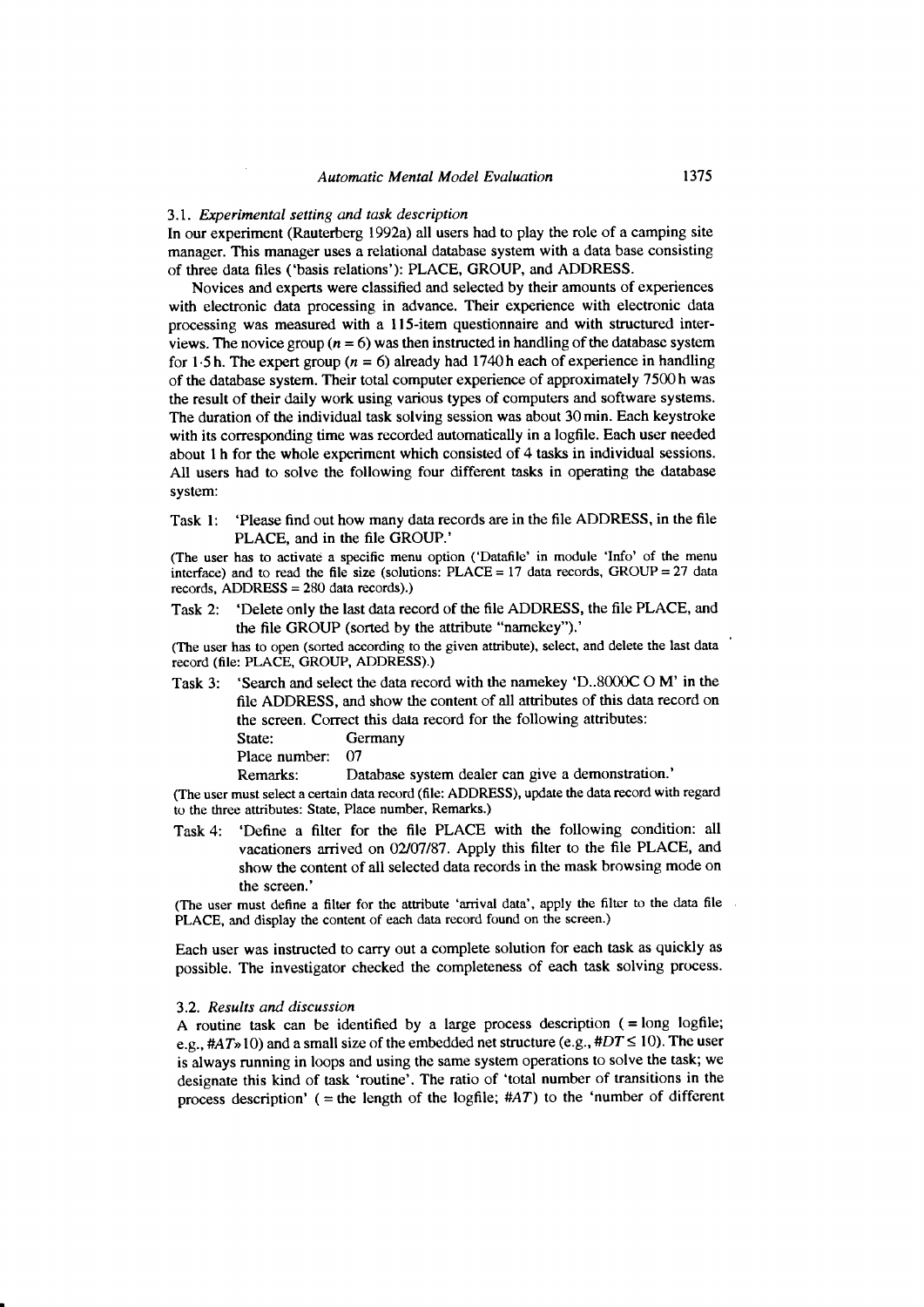#### 3.1. Experimental setting and task description

In our experiment (Rauterberg 1992a) all users had to play the role of a camping site managcr. This manager uses a relational database system with a data base consisting of three data files ('basis relations'): PLACE, GROUP, and ADDRESS.

Novices and experts were classified and selected by their amounts of experiences with electronic data processing in advance. Their experience with electronic data processing was measured with a 115-item questionnaire and with structured interviews. The novice group ( $n = 6$ ) was then instructed in handling of the database system for 1.5 h. The expert group ( $n = 6$ ) already had 1740 h each of experience in handling of the database system. Their total computer experience of approximately 7500 h was the result of their daily work using various types of computers and software systems. The duration of the individual task solving session was about 30 min. Each keystroke with its corresponding time was recorded automatically in a logfile. Each user needed about I h for the whole experiment which consisted of 4 tasks in individual sessions. All users had to solve the following four different tasks in operating the database system:

Task l: 'Please find out how many data records are in the file ADDRESS, in the file PLACE, and in the file GROUP.'

(The user has to activate a specific menu option ('Datafile' in module 'Info' of the menu interface) and to read the file size (solutions:  $PLACE = 17$  data records,  $GROUP = 27$  data records. ADDRESS = 280 data records).)

Task 2: 'Delete only the last data record of the file ADDRESS, the file PLACE, and the file GROUP (sorted by the attribute "namekey").'

(The user has to open (sorted according to the given attribute), select, and delete the last data record (file: PLACE, GROUP, ADDRESS).)

Task 3: 'Search and select the data record with the namekey 'D..8000C O M' in the file ADDRESS, and show the content of all attributes of this data record on the screen. Correct this data record for the following attributes: State: Germany Place number: 07 Remarks: Database system dealer can give a demonstration.'

(The user must select a certain data record (file: ADDRESS), update the data record with regard to the three attributes: State, Place number, Remarks.)

Task 4: 'Define a filter for the file PLACE with the following condition: all vacationers arrived on O2107187. Apply this filter to the file PLACE, and show the content of all selected data records in the mask browsing mode on the screen.'

(The user must define a filter for the attribute 'arrival data', apply the filter to the data file PLACE, and display the content of each data record found on the screen.)

Each user was instructed to carry out a complete solution for each task as quickly as possible. The investigator checked the completeness of each task solving process.

#### 3.2. Results and discussion

A routine task can be identified by a large process description  $( =$  long logfile; e.g.,  $\#AT\gg 10$ ) and a small size of the embedded net structure (e.g.,  $\#DT \le 10$ ). The user is always running in loops and using the same system operations to solve the task; we designate this kind of task 'routine'. The ratio of 'total number of transitions in the process description' (= the length of the logfile;  $#AT$ ) to the 'number of different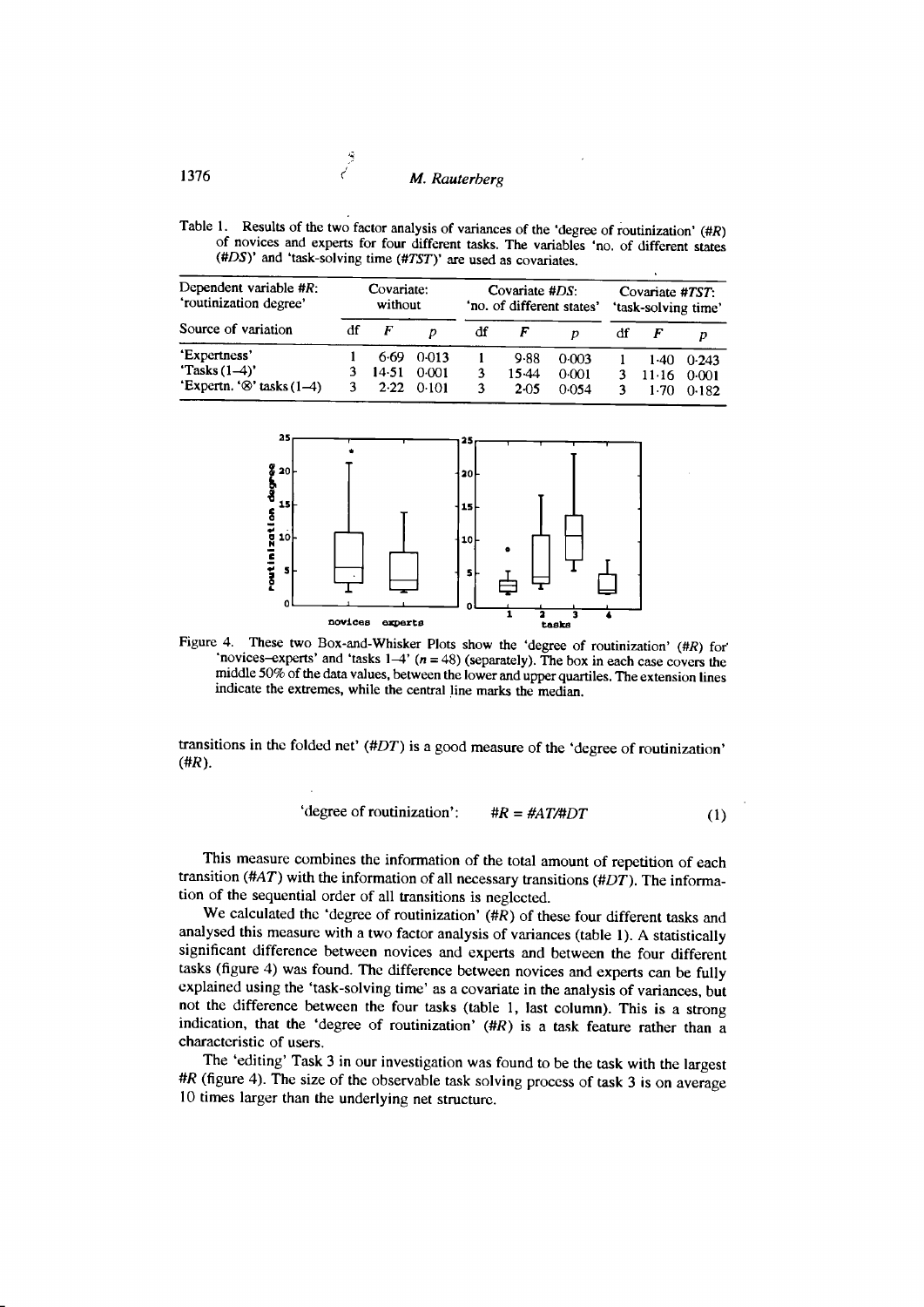Table 1. Results of the two factor analysis of variances of the 'degree of routinization'  $(HR)$ of novices and experts for four different tasks. The variables 'no. of different states (#DS)' and 'task-solving time (#TSI)' are used as covariates.

| Dependent variable $#R$ :<br>'routinization degree'<br>Source of variation | Covariate:<br>without |                       |                         | Covariate $#DS$ :<br>'no. of different states' |                            |                         | Covariate #TST:<br>'task-solving time' |                       |                         |
|----------------------------------------------------------------------------|-----------------------|-----------------------|-------------------------|------------------------------------------------|----------------------------|-------------------------|----------------------------------------|-----------------------|-------------------------|
|                                                                            | df                    | F                     |                         | df                                             |                            |                         | df                                     |                       |                         |
| 'Expertness'<br>'Tasks $(1-4)$ '<br>'Expertn. ' $\otimes$ ' tasks (1–4)    |                       | 6.69<br>14.51<br>2.22 | 0.013<br>0.001<br>0.101 |                                                | 9.88<br>15.44<br>$2 - 0.5$ | 0.003<br>0.001<br>0.054 |                                        | 1.40<br>11.16<br>1.70 | 0.243<br>0.001<br>0.182 |



Figure 4. These two Box-and-Whisker Plots show the 'degree of routinization' (#R) for 'novices-experts' and 'tasks  $1-4'$  ( $n = 48$ ) (separately). The box in each case covers the middle 50% of the data values, between the lower and upper quartiles. The extension lines indicate the extremes, while the central line marks the median.

transitions in the folded net'  $(HDT)$  is a good measure of the 'degree of routinization' (#R).

'degree of **routinization'**: 
$$
\#R = \#AT/\#DT
$$
 (1)

This measure combines the information of the total amount of repetition of each transition (#AT) with the information of all necessary transitions (#DT). The information of the sequential order of all transitions is neglccted.

We calculated the 'degree of routinization' (#R) of these four different tasks and analysed this measure with a two factor analysis of variances (table l). A statistically significant difference between novices and experts and between the four different tasks (figure 4) was found. Thc difference between novices and experts can be fully explained using the 'task-solving time' as a covariate in the analysis of variances, but not the difference between the four tasks (table l, tast column). This is a strong indication, that the 'degree of routinization'  $(HR)$  is a task feature rather than a charactcristic of users.

The 'editing' Task 3 in our investigation was found to be the task with the largest #R (figure 4). The size of the observable task solving process of task 3 is on average l0 times larger than the underlying net structurc.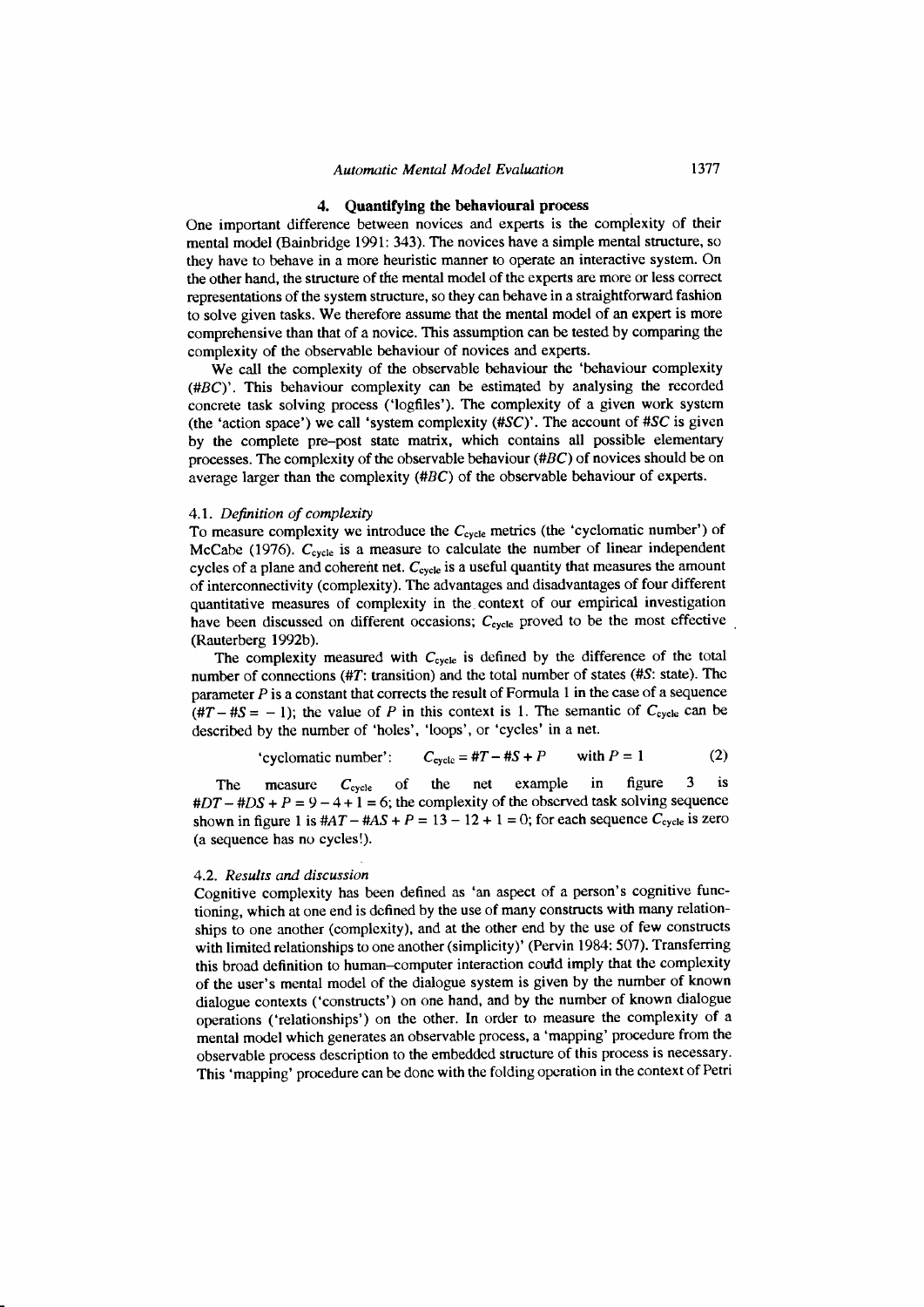#### 4. Quantifying the behavioural process

One important difference between novices and experts is the complexity of their mental model (Bainbridge 1991: 343). The novices have a simple mental structure, so they have to behave in a more heuristic manner to operate an interactive system. On the other hand, the structure of the mental model of the experts are more or less correct representations of the system structure, so they can behave in a straightforward fashion to solve given tasks. We therefore assume that the mental model of an expert is more comprehensive than that of a novice. This assumption can be tested by comparing the complexity of the observable behaviour of novices and experts.

We call the complexity of the observable behaviour the 'behaviour complexity (#BC)'. This behaviour complexity can be estimated by analysing the recorded concrete task solving process ('logfiles'). The complexity of a given work system (the 'action space') we call 'system complexity  $(\#SC)$ '. The account of  $\#SC$  is given by the complete pre-post state matrix, which contains all possible elementary processes. The complexity of the observable behaviour (#BC) of novices should be on average larger than the complexity (#BC) of the observable behaviour of experts.

#### 4.1. Definition of complexiry

To measure complexity we introduce the  $C_{\text{cycle}}$  metrics (the 'cyclomatic number') of McCabe (1976).  $C_{cycle}$  is a measure to calculate the number of linear independent cycles of a plane and coherent net.  $C_{\text{cycle}}$  is a useful quantity that measures the amount of interconnectivity (complexity). The advantages and disadvantages of four different quantitative measures of complexity in the context of our empirical investigation have been discussed on different occasions;  $C_{\text{cycle}}$  proved to be the most effective (Rauterberg 1992b).

The complexity measured with  $C_{\text{cycle}}$  is defined by the difference of the total number of connections (#T: transition) and the total number of states (#S: state). The parameter  $P$  is a constant that corrects the result of Formula 1 in the case of a sequence  $(4T - 4S = -1)$ ; the value of P in this context is 1. The semantic of  $C_{cycle}$  can be described by the number of 'holes', 'loops', or 'cycles' in a net.

'cyclomatic number': 
$$
C_{\text{cycle}} = #T - #S + P
$$
 with  $P = 1$  (2)

The measure  $C_{\text{cycle}}$  of the net example in figure 3 is  $\#DT - \#DS + P = 9 - 4 + 1 = 6$ ; the complexity of the observed task solving sequence shown in figure 1 is  $#AT - #AS + P = 13 - 12 + 1 = 0$ ; for each sequence  $C_{cycle}$  is zero (a sequence has no cycles!).

#### 4-2. Results and discussion

Cognitive complexity has been defined as 'an aspect of a person's cognitive functioning, which at one end is dcfined by the use of many constructs with many relationships to one another (complexity), and at the other end by the use of few constructs with limited relationships to one another (simplicity)' (Pervin 1984: 507). Transferring this broad definition to human-computer interaction could imply that the complexity of the user's mental model of the dialogue system is given by the number of known dialogue contexts ('constructs') on one hand, and by the number of known dialogue operations ('relationships') on the other. In order to measure the complexity of a mental model which generates an observable process, a 'mapping' procedure from the observable process description to the embedded structure of this process is necessary. This 'mapping' procedure can be done with the folding operation in the context of Petri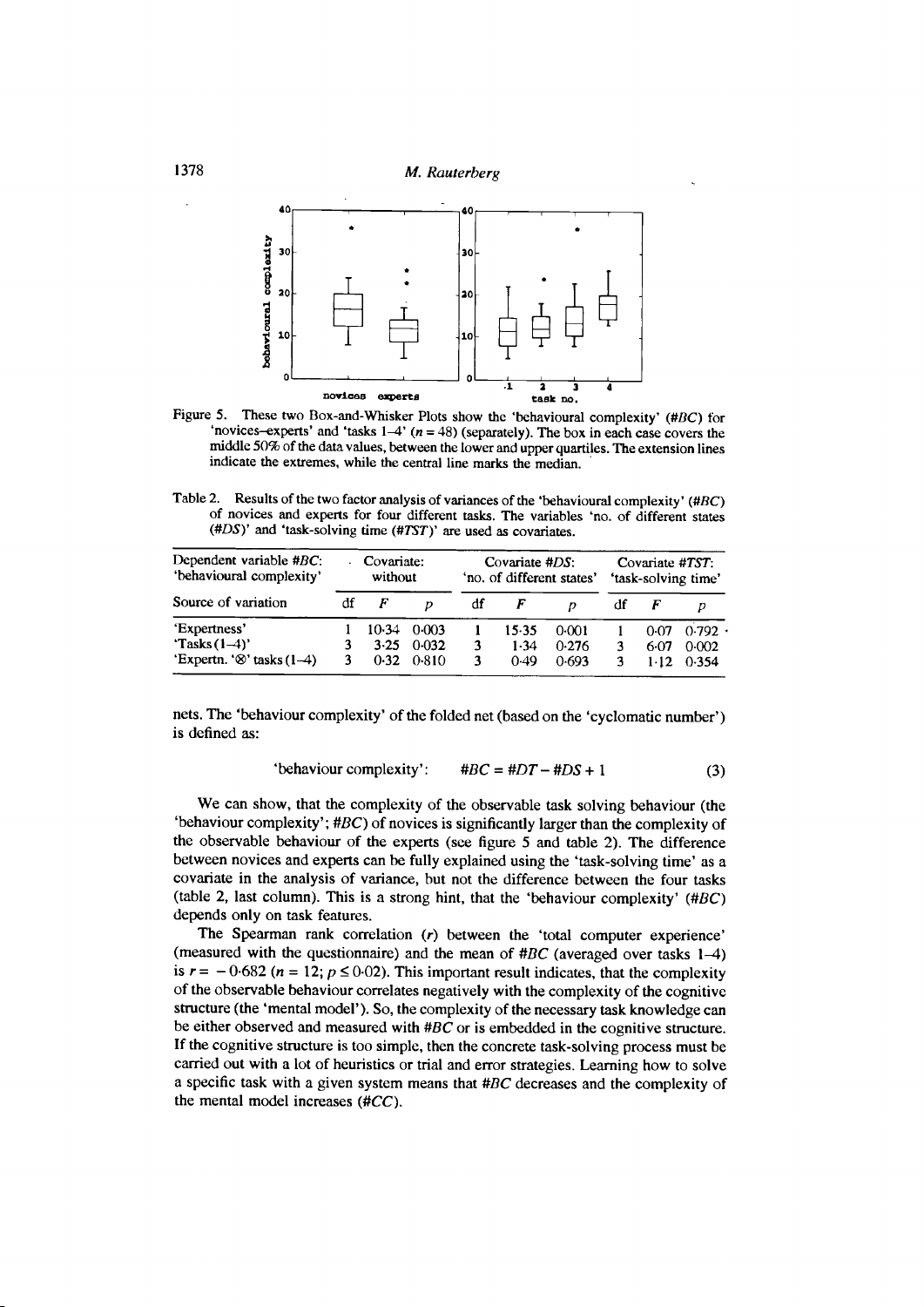

Figure 5. These two Box-and-Whisker Plots show the 'behavioural complexity' (#BC) for 'novices-experts' and 'tasks  $1-4$ ' ( $n = 48$ ) (separately). The box in each case covers the middle 50% of the data values, between the lower and upper quartiles. The extension lines indicate the extremes, while the central line marks the median.

Table 2. Results of the two factor analysis of variances of the 'behavioural complexity' (#BC) of novices and experts for four different tasks. The variables 'no. of different states (#DS)' and 'task-solving time (#TST)' are used as covariates.

| Dependent variable $\#BC$ :<br>'behavioural complexity' | Covariate:<br>without |         |       | Covariate #DS:<br>'no. of different states' |         |         | Covariate #TST:<br>'task-solving time' |        |       |
|---------------------------------------------------------|-----------------------|---------|-------|---------------------------------------------|---------|---------|----------------------------------------|--------|-------|
| Source of variation                                     | df                    | F       |       | df                                          |         |         | df                                     |        |       |
| 'Expertness'                                            |                       | $10-34$ | 0.003 |                                             | $15-35$ | $0-001$ |                                        | 0.07   | 0.792 |
| 'Tasks $(1-4)$ '                                        |                       | $3-25$  | 0.032 | 3                                           | 1.34    | 0.276   |                                        | 6.07   | 0.002 |
| 'Expertn. ' $\otimes$ ' tasks (1-4)                     |                       | 0.32    | 0.810 | 3                                           | 0.49    | 0.693   |                                        | $1-12$ | 0.354 |

nets. The 'behaviour complexity' of the folded net (based on the 'cyclomatic number') is defined as:

$$
"behavior complexity': \t#BC = #DT - #DS + 1
$$
 (3)

We can show, that the complexity of the observable task solving behaviour (the 'behaviour complexity';  $\#BC$ ) of novices is significantly larger than the complexity of the observable behaviour of the experts (see figure 5 and table 2). The difference between novices and experts can be fully explained using the 'task-solving time' as a covariate in the analysis of variance, but not the difference between the four tasks (table 2, last column). This is a strong hint, that the 'behaviour complexity'  $(HBC)$ depends only on task features.

The Spearman rank correlation (r) between the 'total computer experience' (measured with the questionnaire) and the mean of  $\#BC$  (averaged over tasks 1-4) is  $r = -0.682$  ( $n = 12$ ;  $p \le 0.02$ ). This important result indicates, that the complexity of the observable behaviour correlates negatively with the complexity of the cognitive structure (the 'mental model'). So, the complexity of the necessary task knowledge can be either observed and measured with  $\#BC$  or is embedded in the cognitive structure. If the cognitive structure is too simple, then the concrete task-solving process must be carried out with a lot of heuristics or trial and error strategies. Learning how to solve a specific task with a given system means that  $\#BC$  decreases and the complexity of the mental model increases  $(\#CC)$ .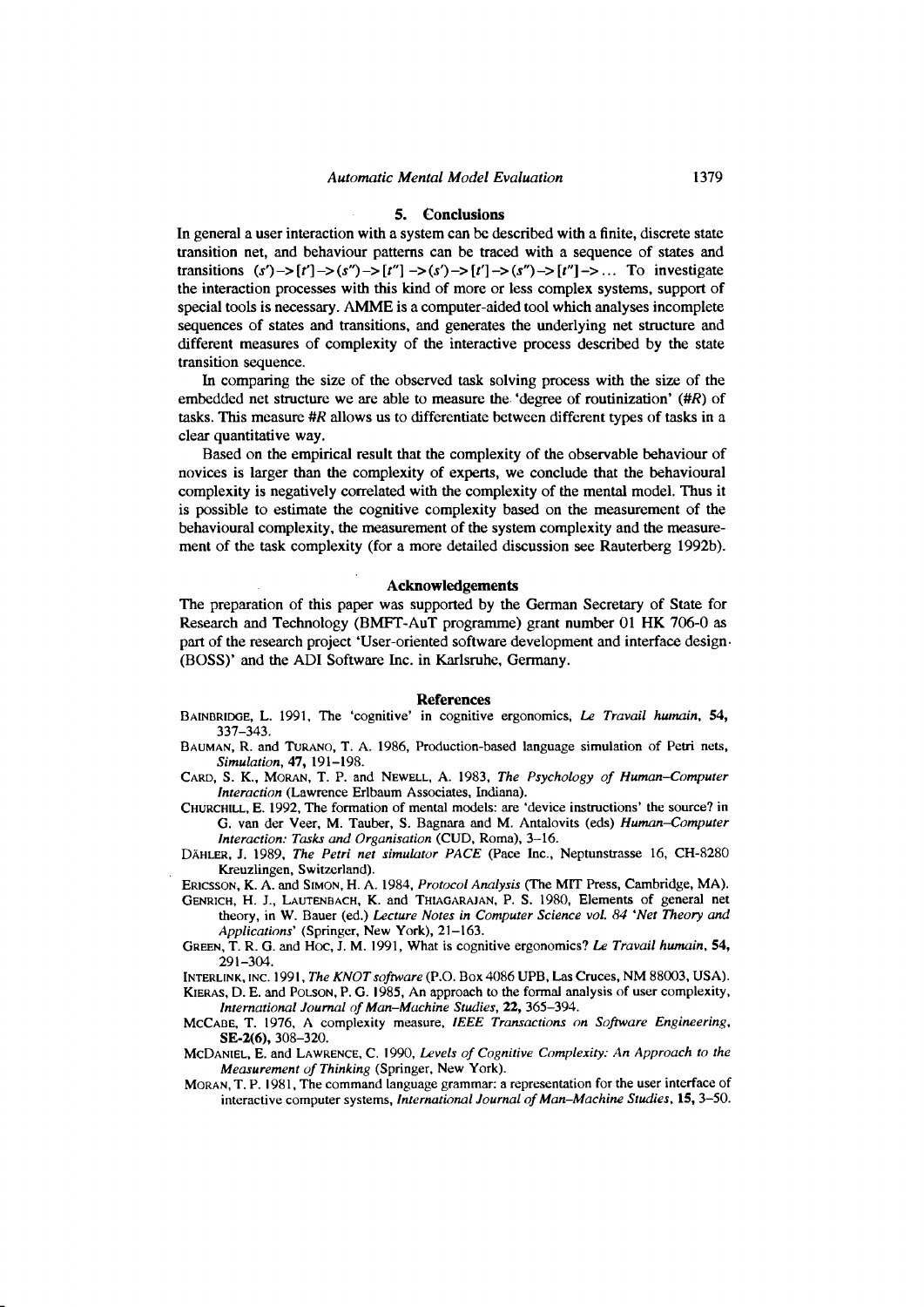#### 5. Conclusions

In general a user interaction with a system can be described with a finite, discrete state transition net, and behaviour patterns can be traced with a sequence of states and transitions  $(s')$ -> $[t']$ -> $(s'')$ -> $[t'']$ -> $(s')$ -> $[t']$ -> $(s'')$ -> $[t'']$ ->... To investigate the interaction processes with this kind of more or less complex systems, support of special tools is necessary. AMME is a computer-aided tool which analyses incomplete sequences of states and transitions, and generates the underlying net structure and different measures of complexity of the interactive process described by the state transition sequence.

ln comparing the size of the observed task solving process with the size of the embedded net structure we are able to measure the.'degree of routinization' (#R) of tasks. This measure #R allows us to differentiate between different types of tasks in a clear quantitative way.

Based on the empirical result that the complexity of the observable behaviour of novices is larger than the complexity of experts, we conclude that the behavioural complexity is negatively correlated with the complexity of the mental model. Thus it is possible to estimate the cognitive complexity based on the measurement of the behavioural complexity, the measurement of the system complexity and the measurement of the task complexity (for a more detailed discussion see Rauterberg 1992b).

## Acknowledgements

The preparation of this paper was supported by the German Secretary of State for Research and Technology (BMFT-AuT programme) grant number 0l HK 706-0 as part of the research project 'User-oriented software development and interface design. (BOSS)' and the ADI Software Inc. in Karlsruhe, Germany.

#### **References**

- BAINBRIDGE, L. 1991, The 'cognitive' in cognitive ergonomics, Le Travail humain, 54, 337-343.
- BAUMAN, R. and TURANO, T. A. 1986, Production-based language simulation of Petri nets, Simulation, 47, l9l-198.
- CARD, S. K., MORAN, T. P. and NEWELL, A. 1983, The Psychology of Human-Computer Interaction (Lawrence Erlbaum Associates, lndiana).
- CHURCHILL, E. 1992, The formation of mental models: are 'device instructions' the source? in G. van der Veer, M. Tauber, S. Bagnara and M. Antalovits (eds) Human-Computer Interaction: Tasks and Organisation (CUD, Roma), 3-ló.
- DÁHLER, J. 1989, The Petri net simulator PACE (Pace lnc., Neptunstrasse 16, CH-8280 Kreuzlingen, Switzerland).
- ERICSSON, K. A. and SIMON, H. A. 1984, Protocol Analysis (The MIT Press, Cambridge, MA).
- GENRICH, H. J., LAUTENBACH, K. and THIAGARAJAN, P. S. 1980, Elements of general net theory, in W. Bauer (ed.) Lecture Notes in Computer Science vol. 84 'Net Theory and Applications' (Springer, New York), 21-163.
- GREEN, T. R. G. and Hoc, J. M. 1991, What is cognitive ergonomics? Le Travail humain, 54, 29t-3U.

INTERLINK, INC. 1991, The KNOT software (P.O. Box 4086 UPB, Las Cruces, NM 88003, USA). KIERAS, D. E. and POLSON, P. G. 1985, An approach to the formal analysis of user complexity, International Journal of Man-Machine Studies, 22, 365-394.

- McCABE, T. 1976, A complexity measure, IEEE Transactions on Software Engineering, sE-2(6), 308-320.
- MCDANIEL, E. and LAWRENCE, C. 1990, Levels of Cognitive Complexity: An Approach to the Measurement of Thinking (Springer, New York).
- MORAN, T. P. 1981, The command language grammar: a representation for the user interface of interactive computer systems, International Journal of Man-Machine Studies, 15, 3-50.